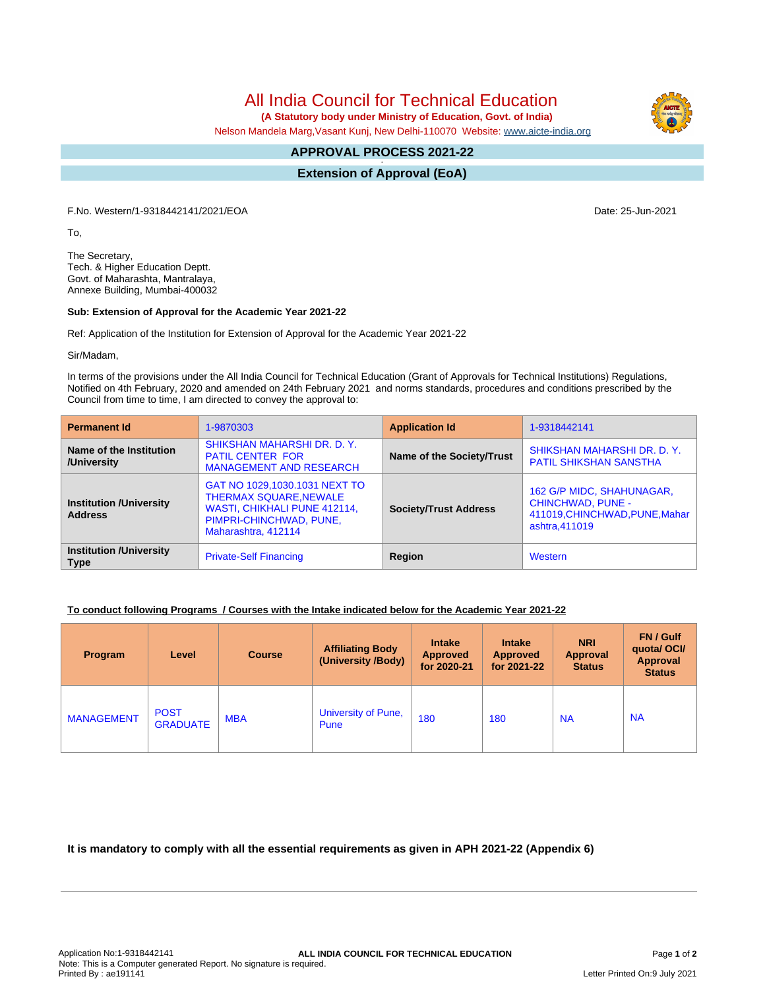All India Council for Technical Education

 **(A Statutory body under Ministry of Education, Govt. of India)**

Nelson Mandela Marg,Vasant Kunj, New Delhi-110070 Website: [www.aicte-india.org](http://www.aicte-india.org)

## **APPROVAL PROCESS 2021-22 -**

**Extension of Approval (EoA)**

F.No. Western/1-9318442141/2021/EOA Date: 25-Jun-2021

To,

The Secretary, Tech. & Higher Education Deptt. Govt. of Maharashta, Mantralaya, Annexe Building, Mumbai-400032

## **Sub: Extension of Approval for the Academic Year 2021-22**

Ref: Application of the Institution for Extension of Approval for the Academic Year 2021-22

Sir/Madam,

In terms of the provisions under the All India Council for Technical Education (Grant of Approvals for Technical Institutions) Regulations, Notified on 4th February, 2020 and amended on 24th February 2021 and norms standards, procedures and conditions prescribed by the Council from time to time, I am directed to convey the approval to:

| <b>Permanent Id</b>                              | 1-9870303                                                                                                                                               | <b>Application Id</b>        | 1-9318442141                                                                                             |  |
|--------------------------------------------------|---------------------------------------------------------------------------------------------------------------------------------------------------------|------------------------------|----------------------------------------------------------------------------------------------------------|--|
| Name of the Institution<br>/University           | SHIKSHAN MAHARSHI DR. D. Y.<br><b>PATIL CENTER FOR</b><br><b>MANAGEMENT AND RESEARCH</b>                                                                | Name of the Society/Trust    | SHIKSHAN MAHARSHI DR. D. Y.<br><b>PATIL SHIKSHAN SANSTHA</b>                                             |  |
| <b>Institution /University</b><br><b>Address</b> | GAT NO 1029,1030.1031 NEXT TO<br><b>THERMAX SQUARE, NEWALE</b><br><b>WASTI, CHIKHALI PUNE 412114,</b><br>PIMPRI-CHINCHWAD, PUNE,<br>Maharashtra, 412114 | <b>Society/Trust Address</b> | 162 G/P MIDC, SHAHUNAGAR,<br><b>CHINCHWAD, PUNE -</b><br>411019, CHINCHWAD, PUNE, Mahar<br>ashtra.411019 |  |
| <b>Institution /University</b><br><b>Type</b>    | <b>Private-Self Financing</b>                                                                                                                           | Region                       | Western                                                                                                  |  |

## **To conduct following Programs / Courses with the Intake indicated below for the Academic Year 2021-22**

| Program           | Level                          | <b>Course</b> | <b>Affiliating Body</b><br>(University /Body) | <b>Intake</b><br><b>Approved</b><br>for 2020-21 | <b>Intake</b><br><b>Approved</b><br>for 2021-22 | <b>NRI</b><br><b>Approval</b><br><b>Status</b> | <b>FN/Gulf</b><br>quotal OCI/<br>Approval<br><b>Status</b> |
|-------------------|--------------------------------|---------------|-----------------------------------------------|-------------------------------------------------|-------------------------------------------------|------------------------------------------------|------------------------------------------------------------|
| <b>MANAGEMENT</b> | <b>POST</b><br><b>GRADUATE</b> | <b>MBA</b>    | University of Pune,<br>Pune                   | 180                                             | 180                                             | <b>NA</b>                                      | <b>NA</b>                                                  |

**It is mandatory to comply with all the essential requirements as given in APH 2021-22 (Appendix 6)**